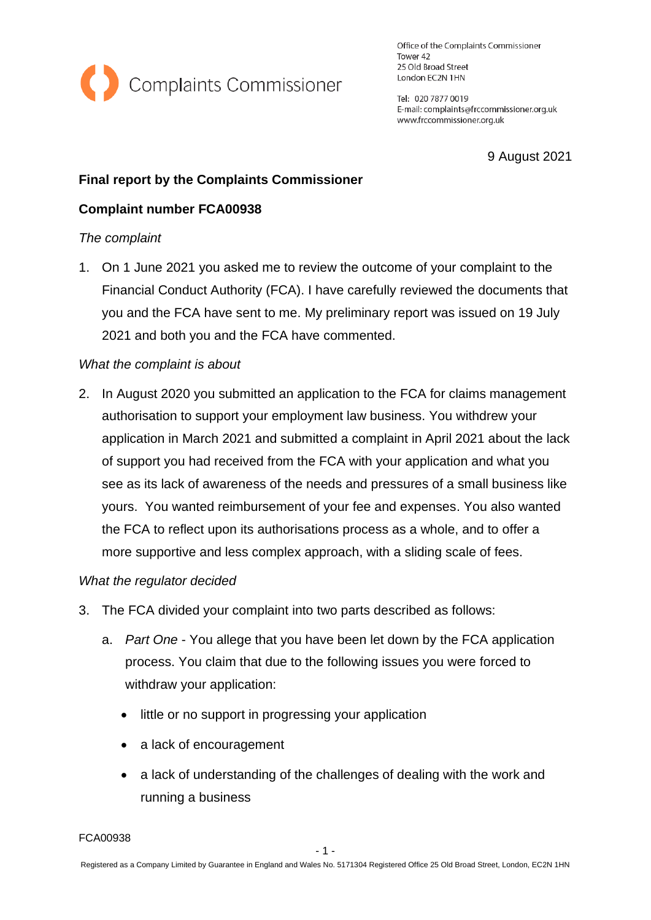

Office of the Complaints Commissioner Tower 42 25 Old Broad Street London EC2N 1HN

Tel: 020 7877 0019 E-mail: complaints@frccommissioner.org.uk www.frccommissioner.org.uk

9 August 2021

# **Final report by the Complaints Commissioner**

# **Complaint number FCA00938**

## *The complaint*

1. On 1 June 2021 you asked me to review the outcome of your complaint to the Financial Conduct Authority (FCA). I have carefully reviewed the documents that you and the FCA have sent to me. My preliminary report was issued on 19 July 2021 and both you and the FCA have commented.

## *What the complaint is about*

2. In August 2020 you submitted an application to the FCA for claims management authorisation to support your employment law business. You withdrew your application in March 2021 and submitted a complaint in April 2021 about the lack of support you had received from the FCA with your application and what you see as its lack of awareness of the needs and pressures of a small business like yours. You wanted reimbursement of your fee and expenses. You also wanted the FCA to reflect upon its authorisations process as a whole, and to offer a more supportive and less complex approach, with a sliding scale of fees.

#### *What the regulator decided*

- 3. The FCA divided your complaint into two parts described as follows:
	- a. *Part One* You allege that you have been let down by the FCA application process. You claim that due to the following issues you were forced to withdraw your application:
		- little or no support in progressing your application
		- a lack of encouragement
		- a lack of understanding of the challenges of dealing with the work and running a business

FCA00938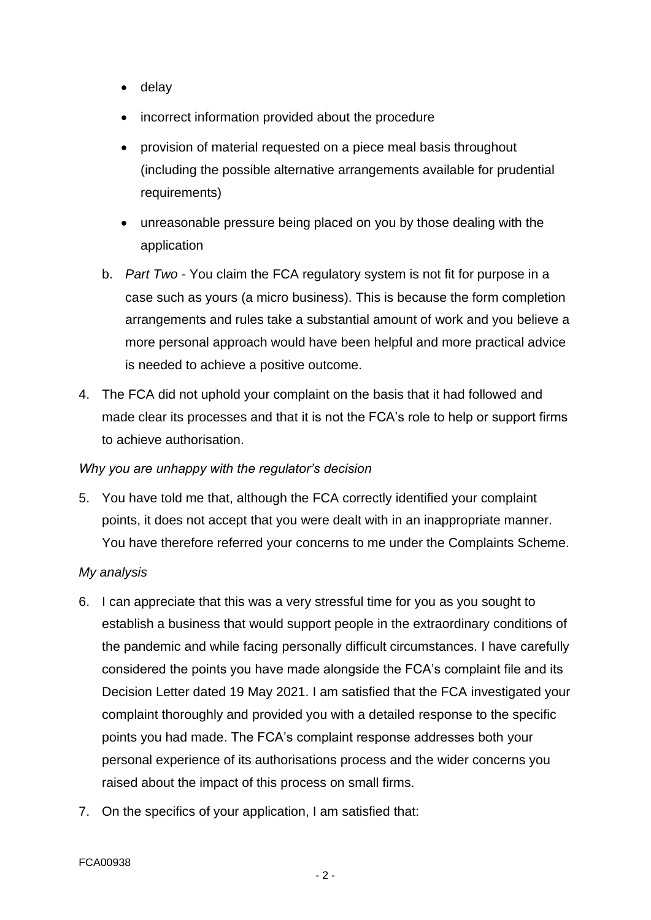- delay
- incorrect information provided about the procedure
- provision of material requested on a piece meal basis throughout (including the possible alternative arrangements available for prudential requirements)
- unreasonable pressure being placed on you by those dealing with the application
- b. *Part Two* You claim the FCA regulatory system is not fit for purpose in a case such as yours (a micro business). This is because the form completion arrangements and rules take a substantial amount of work and you believe a more personal approach would have been helpful and more practical advice is needed to achieve a positive outcome.
- 4. The FCA did not uphold your complaint on the basis that it had followed and made clear its processes and that it is not the FCA's role to help or support firms to achieve authorisation.

#### *Why you are unhappy with the regulator's decision*

5. You have told me that, although the FCA correctly identified your complaint points, it does not accept that you were dealt with in an inappropriate manner. You have therefore referred your concerns to me under the Complaints Scheme.

#### *My analysis*

- 6. I can appreciate that this was a very stressful time for you as you sought to establish a business that would support people in the extraordinary conditions of the pandemic and while facing personally difficult circumstances. I have carefully considered the points you have made alongside the FCA's complaint file and its Decision Letter dated 19 May 2021. I am satisfied that the FCA investigated your complaint thoroughly and provided you with a detailed response to the specific points you had made. The FCA's complaint response addresses both your personal experience of its authorisations process and the wider concerns you raised about the impact of this process on small firms.
- 7. On the specifics of your application, I am satisfied that: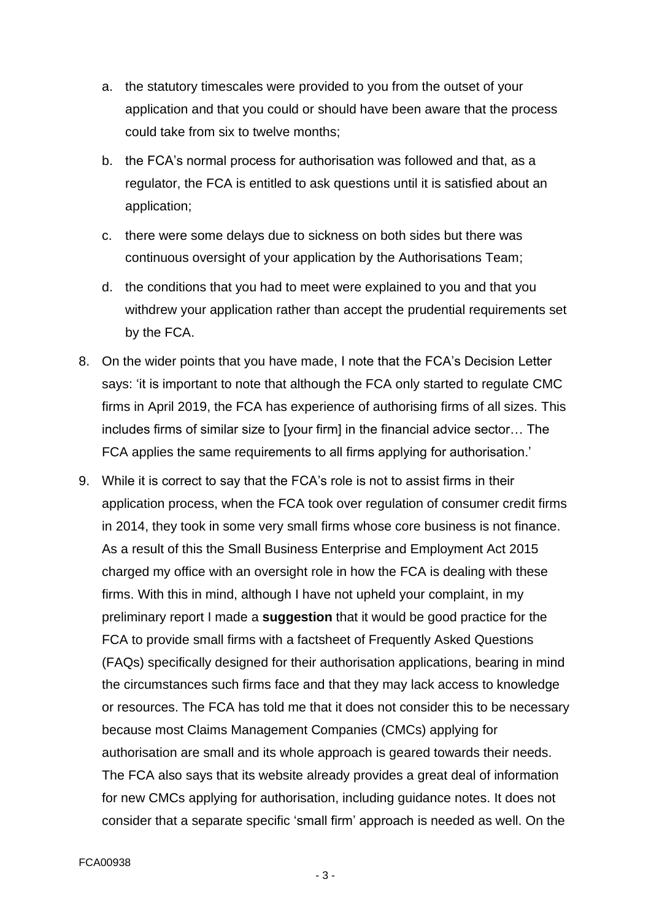- a. the statutory timescales were provided to you from the outset of your application and that you could or should have been aware that the process could take from six to twelve months;
- b. the FCA's normal process for authorisation was followed and that, as a regulator, the FCA is entitled to ask questions until it is satisfied about an application;
- c. there were some delays due to sickness on both sides but there was continuous oversight of your application by the Authorisations Team;
- d. the conditions that you had to meet were explained to you and that you withdrew your application rather than accept the prudential requirements set by the FCA.
- 8. On the wider points that you have made, I note that the FCA's Decision Letter says: 'it is important to note that although the FCA only started to regulate CMC firms in April 2019, the FCA has experience of authorising firms of all sizes. This includes firms of similar size to [your firm] in the financial advice sector… The FCA applies the same requirements to all firms applying for authorisation.'
- 9. While it is correct to say that the FCA's role is not to assist firms in their application process, when the FCA took over regulation of consumer credit firms in 2014, they took in some very small firms whose core business is not finance. As a result of this the Small Business Enterprise and Employment Act 2015 charged my office with an oversight role in how the FCA is dealing with these firms. With this in mind, although I have not upheld your complaint, in my preliminary report I made a **suggestion** that it would be good practice for the FCA to provide small firms with a factsheet of Frequently Asked Questions (FAQs) specifically designed for their authorisation applications, bearing in mind the circumstances such firms face and that they may lack access to knowledge or resources. The FCA has told me that it does not consider this to be necessary because most Claims Management Companies (CMCs) applying for authorisation are small and its whole approach is geared towards their needs. The FCA also says that its website already provides a great deal of information for new CMCs applying for authorisation, including guidance notes. It does not consider that a separate specific 'small firm' approach is needed as well. On the

- 3 -